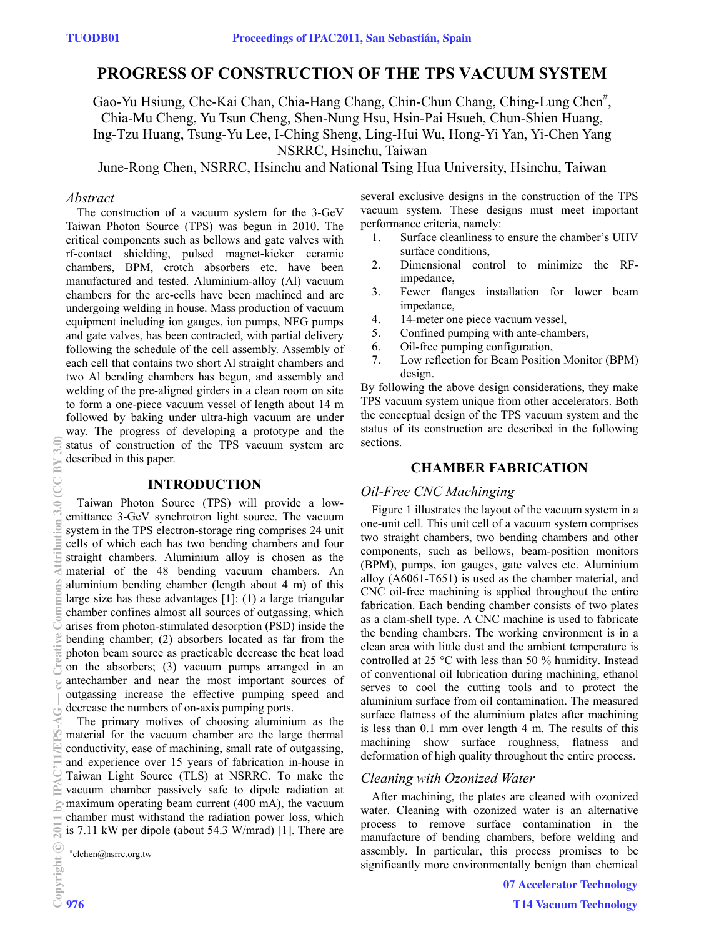# **PROGRESS OF CONSTRUCTION OF THE TPS VACUUM SYSTEM**

Gao-Yu Hsiung, Che-Kai Chan, Chia-Hang Chang, Chin-Chun Chang, Ching-Lung Chen<sup>#</sup>, Chia-Mu Cheng, Yu Tsun Cheng, Shen-Nung Hsu, Hsin-Pai Hsueh, Chun-Shien Huang, Ing-Tzu Huang, Tsung-Yu Lee, I-Ching Sheng, Ling-Hui Wu, Hong-Yi Yan, Yi-Chen Yang NSRRC, Hsinchu, Taiwan

June-Rong Chen, NSRRC, Hsinchu and National Tsing Hua University, Hsinchu, Taiwan

#### *Abstract*

The construction of a vacuum system for the 3-GeV Taiwan Photon Source (TPS) was begun in 2010. The critical components such as bellows and gate valves with rf-contact shielding, pulsed magnet-kicker ceramic chambers, BPM, crotch absorbers etc. have been manufactured and tested. Aluminium-alloy (Al) vacuum chambers for the arc-cells have been machined and are undergoing welding in house. Mass production of vacuum equipment including ion gauges, ion pumps, NEG pumps and gate valves, has been contracted, with partial delivery following the schedule of the cell assembly. Assembly of each cell that contains two short Al straight chambers and two Al bending chambers has begun, and assembly and welding of the pre-aligned girders in a clean room on site to form a one-piece vacuum vessel of length about 14 m followed by baking under ultra-high vacuum are under way. The progress of developing a prototype and the status of construction of the TPS vacuum system are described in this paper.

### **INTRODUCTION**

Taiwan Photon Source (TPS) will provide a lowemittance 3-GeV synchrotron light source. The vacuum system in the TPS electron-storage ring comprises 24 unit cells of which each has two bending chambers and four straight chambers. Aluminium alloy is chosen as the material of the 48 bending vacuum chambers. An aluminium bending chamber (length about 4 m) of this large size has these advantages [1]: (1) a large triangular chamber confines almost all sources of outgassing, which arises from photon-stimulated desorption (PSD) inside the bending chamber; (2) absorbers located as far from the photon beam source as practicable decrease the heat load on the absorbers; (3) vacuum pumps arranged in an antechamber and near the most important sources of outgassing increase the effective pumping speed and decrease the numbers of on-axis pumping ports.

The primary motives of choosing aluminium as the material for the vacuum chamber are the large thermal conductivity, ease of machining, small rate of outgassing, and experience over 15 years of fabrication in-house in Taiwan Light Source (TLS) at NSRRC. To make the vacuum chamber passively safe to dipole radiation at maximum operating beam current (400 mA), the vacuum chamber must withstand the radiation power loss, which is 7.11 kW per dipole (about 54.3 W/mrad) [1]. There are

 ${\text{c}^\# \text{clchen}(\text{@nsrrc.org.tw}}$ 

several exclusive designs in the construction of the TPS vacuum system. These designs must meet important performance criteria, namely:

- 1. Surface cleanliness to ensure the chamber's UHV surface conditions
- 2. Dimensional control to minimize the RFimpedance,
- 3. Fewer flanges installation for lower beam impedance,
- 4. 14-meter one piece vacuum vessel,
- 5. Confined pumping with ante-chambers,
- 6. Oil-free pumping configuration,
- 7. Low reflection for Beam Position Monitor (BPM) design.

By following the above design considerations, they make TPS vacuum system unique from other accelerators. Both the conceptual design of the TPS vacuum system and the status of its construction are described in the following sections.

## **CHAMBER FABRICATION**

#### *Oil-Free CNC Machinging*

Figure 1 illustrates the layout of the vacuum system in a one-unit cell. This unit cell of a vacuum system comprises two straight chambers, two bending chambers and other components, such as bellows, beam-position monitors (BPM), pumps, ion gauges, gate valves etc. Aluminium alloy (A6061-T651) is used as the chamber material, and CNC oil-free machining is applied throughout the entire fabrication. Each bending chamber consists of two plates as a clam-shell type. A CNC machine is used to fabricate the bending chambers. The working environment is in a clean area with little dust and the ambient temperature is controlled at 25 °C with less than 50 % humidity. Instead of conventional oil lubrication during machining, ethanol serves to cool the cutting tools and to protect the aluminium surface from oil contamination. The measured surface flatness of the aluminium plates after machining is less than 0.1 mm over length 4 m. The results of this machining show surface roughness, flatness and deformation of high quality throughout the entire process.

## *Cleaning with Ozonized Water*

After machining, the plates are cleaned with ozonized water. Cleaning with ozonized water is an alternative process to remove surface contamination in the manufacture of bending chambers, before welding and assembly. In particular, this process promises to be significantly more environmentally benign than chemical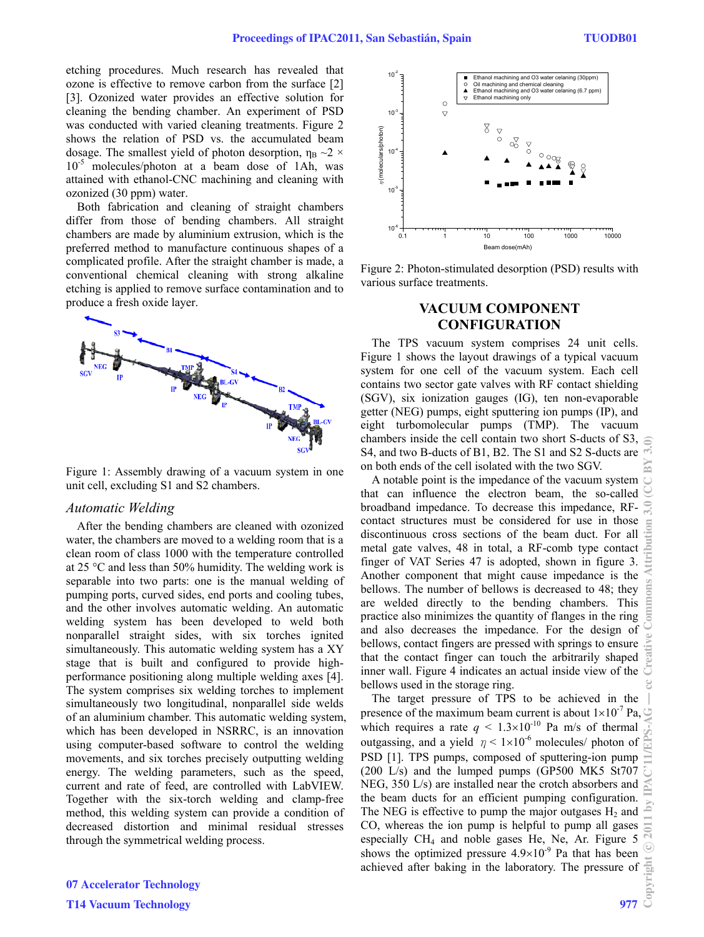etching procedures. Much research has revealed that ozone is effective to remove carbon from the surface [2] [3]. Ozonized water provides an effective solution for cleaning the bending chamber. An experiment of PSD was conducted with varied cleaning treatments. Figure 2 shows the relation of PSD vs. the accumulated beam dosage. The smallest yield of photon desorption,  $\eta_B \sim 2 \times$  $10^{-5}$  molecules/photon at a beam dose of 1Ah, was attained with ethanol-CNC machining and cleaning with ozonized (30 ppm) water.

Both fabrication and cleaning of straight chambers differ from those of bending chambers. All straight chambers are made by aluminium extrusion, which is the preferred method to manufacture continuous shapes of a complicated profile. After the straight chamber is made, a conventional chemical cleaning with strong alkaline etching is applied to remove surface contamination and to produce a fresh oxide layer.



Figure 1: Assembly drawing of a vacuum system in one unit cell, excluding S1 and S2 chambers.

#### *Automatic Welding*

After the bending chambers are cleaned with ozonized water, the chambers are moved to a welding room that is a clean room of class 1000 with the temperature controlled at 25 °C and less than 50% humidity. The welding work is separable into two parts: one is the manual welding of pumping ports, curved sides, end ports and cooling tubes, and the other involves automatic welding. An automatic welding system has been developed to weld both nonparallel straight sides, with six torches ignited simultaneously. This automatic welding system has a XY stage that is built and configured to provide highperformance positioning along multiple welding axes [4]. The system comprises six welding torches to implement simultaneously two longitudinal, nonparallel side welds of an aluminium chamber. This automatic welding system, which has been developed in NSRRC, is an innovation using computer-based software to control the welding movements, and six torches precisely outputting welding energy. The welding parameters, such as the speed, current and rate of feed, are controlled with LabVIEW. Together with the six-torch welding and clamp-free method, this welding system can provide a condition of decreased distortion and minimal residual stresses through the symmetrical welding process.



Figure 2: Photon-stimulated desorption (PSD) results with various surface treatments.

## **VACUUM COMPONENT CONFIGURATION**

The TPS vacuum system comprises 24 unit cells. Figure 1 shows the layout drawings of a typical vacuum system for one cell of the vacuum system. Each cell contains two sector gate valves with RF contact shielding (SGV), six ionization gauges (IG), ten non-evaporable getter (NEG) pumps, eight sputtering ion pumps (IP), and eight turbomolecular pumps (TMP). The vacuum chambers inside the cell contain two short S-ducts of S3, S4, and two B-ducts of B1, B2. The S1 and S2 S-ducts are on both ends of the cell isolated with the two SGV.

A notable point is the impedance of the vacuum system that can influence the electron beam, the so-called broadband impedance. To decrease this impedance, RFcontact structures must be considered for use in those discontinuous cross sections of the beam duct. For all metal gate valves, 48 in total, a RF-comb type contact finger of VAT Series 47 is adopted, shown in figure 3. Another component that might cause impedance is the bellows. The number of bellows is decreased to 48; they are welded directly to the bending chambers. This practice also minimizes the quantity of flanges in the ring and also decreases the impedance. For the design of bellows, contact fingers are pressed with springs to ensure that the contact finger can touch the arbitrarily shaped inner wall. Figure 4 indicates an actual inside view of the bellows used in the storage ring.

The target pressure of TPS to be achieved in the presence of the maximum beam current is about  $1\times10^{-7}$  Pa,  $\circledcirc$ which requires a rate  $q \leq 1.3 \times 10^{-10}$  Pa m/s of thermal outgassing, and a yield  $\eta$  < 1×10<sup>-6</sup> molecules/ photon of PSD [1]. TPS pumps, composed of sputtering-ion pump (200 L/s) and the lumped pumps (GP500 MK5 St707 NEG, 350 L/s) are installed near the crotch absorbers and the beam ducts for an efficient pumping configuration. The NEG is effective to pump the major outgases  $H_2$  and CO, whereas the ion pump is helpful to pump all gases especially  $CH_4$  and noble gases He, Ne, Ar. Figure 5 shows the optimized pressure  $4.9\times10^{-9}$  Pa that has been achieved after baking in the laboratory. The pressure of